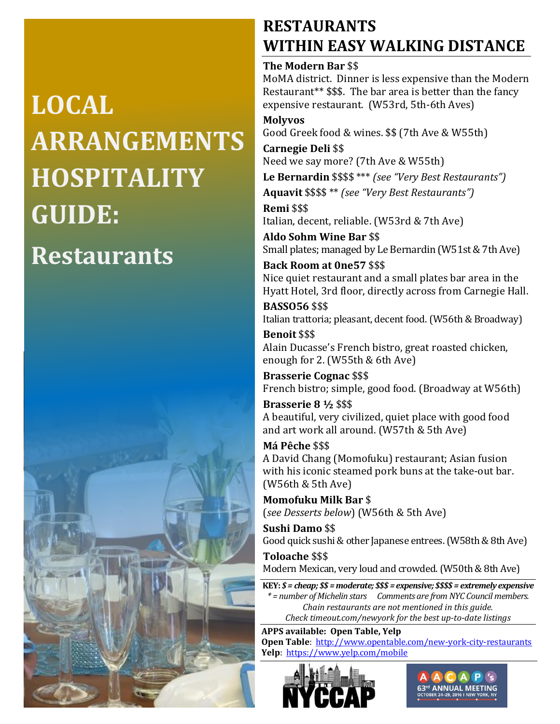# **LOCAL ARRANGEMENTS HOSPITALITY GUIDE: Restaurants**



### **RESTAURANTS WITHIN EASY WALKING DISTANCE**

### **The Modern Bar** \$\$

MoMA district. Dinner is less expensive than the Modern Restaurant\*\* \$\$\$. The bar area is better than the fancy expensive restaurant. (W53rd, 5th-6th Aves)

**Molyvos** Good Greek food & wines. \$\$ (7th Ave & W55th)

**Carnegie Deli** \$\$ Need we say more? (7th Ave & W55th)

**Le Bernardin** \$\$\$\$ \*\*\* *(see "Very Best Restaurants")* **Aquavit** \$\$\$\$ \*\* *(see "Very Best Restaurants")*

**Remi** \$\$\$ Italian, decent, reliable. (W53rd & 7th Ave)

**Aldo Sohm Wine Bar** \$\$ Small plates; managed by Le Bernardin (W51st & 7th Ave)

**Back Room at 0ne57** \$\$\$ Nice quiet restaurant and a small plates bar area in the Hyatt Hotel, 3rd floor, directly across from Carnegie Hall.

**BASSO56** \$\$\$ Italian trattoria; pleasant, decent food. (W56th & Broadway) **Benoit** \$\$\$

Alain Ducasse's French bistro, great roasted chicken, enough for 2. (W55th & 6th Ave)

**Brasserie Cognac** \$\$\$ French bistro; simple, good food. (Broadway at W56th)

**Brasserie 8 ½** \$\$\$ A beautiful, very civilized, quiet place with good food and art work all around. (W57th & 5th Ave)

**Má Pêche** \$\$\$ A David Chang (Momofuku) restaurant; Asian fusion with his iconic steamed pork buns at the take-out bar. (W56th & 5th Ave)

**Momofuku Milk Bar** \$ (*see Desserts below*) (W56th & 5th Ave)

**Sushi Damo** \$\$ Good quick sushi & other Japanese entrees. (W58th & 8th Ave) **Toloache** \$\$\$

Modern Mexican, very loud and crowded. (W50th & 8th Ave)

**KEY:** *\$ = cheap; \$\$ = moderate; \$\$\$ = expensive; \$\$\$\$ = extremely expensive \* = number of Michelin stars Comments are from NYC Council members. Chain restaurants are not mentioned in this guide. Check timeout.com/newyork for the best up-to-date listings*

**APPS available: Open Table, Yelp Open Table**:<http://www.opentable.com/new-york-city-restaurants> **Yelp**:<https://www.yelp.com/mobile>



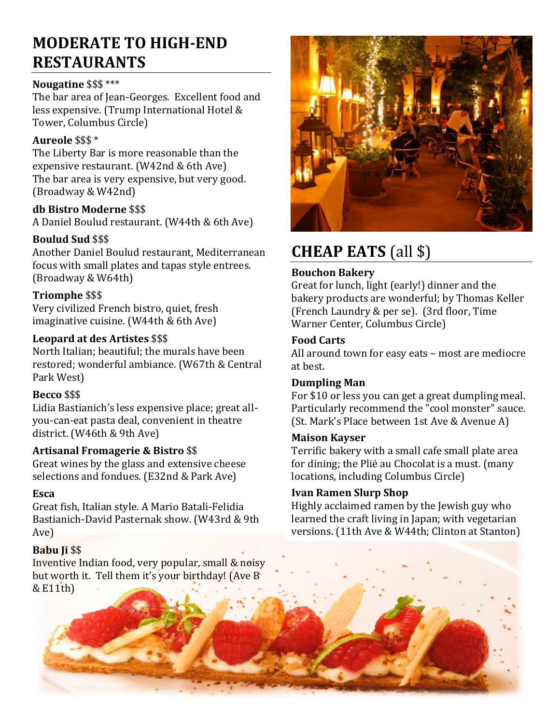### **MODERATE TO HIGH-END RESTAURANTS**

### **Nougatine** \$\$\$ \*\*\*

The bar area of Jean-Georges. Excellent food and less expensive. (Trump International Hotel & Tower, Columbus Circle)

### **Aureole** \$\$\$ \*

The Liberty Bar is more reasonable than the expensive restaurant. (W42nd & 6th Ave) The bar area is very expensive, but very good. (Broadway & W42nd)

### **db Bistro Moderne** \$\$\$

A Daniel Boulud restaurant. (W44th & 6th Ave)

### **Boulud Sud** \$\$\$

Another Daniel Boulud restaurant, Mediterranean focus with small plates and tapas style entrees. (Broadway & W64th)

### **Triomphe** \$\$\$

Very civilized French bistro, quiet, fresh imaginative cuisine. (W44th & 6th Ave)

### **Leopard at des Artistes** \$\$\$

North Italian; beautiful; the murals have been restored; wonderful ambiance. (W67th & Central Park West)

### **Becco** \$\$\$

Lidia Bastianich's less expensive place; great allyou-can-eat pasta deal, convenient in theatre district. (W46th & 9th Ave)

### **Artisanal Fromagerie & Bistro** \$\$

Great wines by the glass and extensive cheese selections and fondues. (E32nd & Park Ave)

### **Esca**

Great fish, Italian style. A Mario Batali-Felidia Bastianich-David Pasternak show. (W43rd & 9th Ave)

### **Babu Ji** \$\$

Inventive Indian food, very popular, small & noisy but worth it. Tell them it's your birthday! (Ave B & E11th)



# **CHEAP EATS** (all \$)

### **Bouchon Bakery**

Great for lunch, light (early!) dinner and the bakery products are wonderful; by Thomas Keller (French Laundry & per se). (3rd floor, Time Warner Center, Columbus Circle)

### **Food Carts**

All around town for easy eats – most are mediocre at best.

### **Dumpling Man**

For \$10 or less you can get a great dumpling meal. Particularly recommend the "cool monster" sauce. (St. Mark's Place between 1st Ave & Avenue A)

### **Maison Kayser**

Terrific bakery with a small cafe small plate area for dining; the Plié au Chocolat is a must. (many locations, including Columbus Circle)

### **Ivan Ramen Slurp Shop**

Highly acclaimed ramen by the Jewish guy who learned the craft living in Japan; with vegetarian versions. (11th Ave & W44th; Clinton at Stanton)

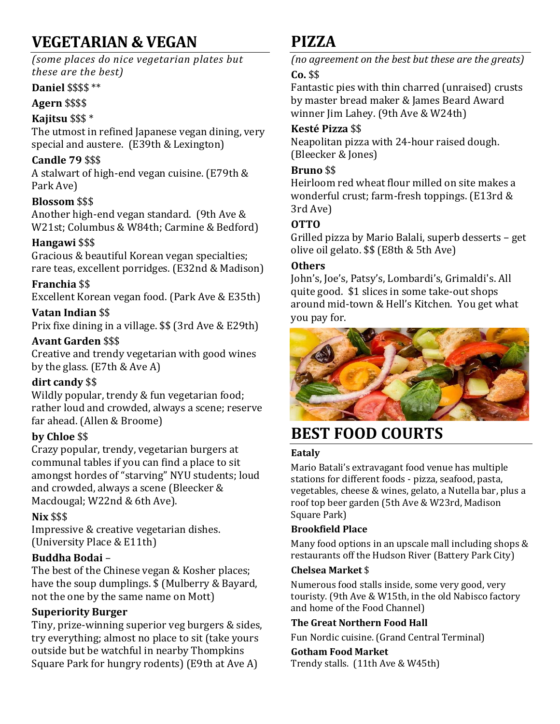# **VEGETARIAN & VEGAN**

### *(some places do nice vegetarian plates but these are the best)*

### **Daniel** \$\$\$\$ \*\*

### **Agern** \$\$\$\$

### **Kajitsu** \$\$\$ \*

The utmost in refined Japanese vegan dining, very special and austere. (E39th & Lexington)

### **Candle 79** \$\$\$

A stalwart of high-end vegan cuisine. (E79th & Park Ave)

### **Blossom** \$\$\$

Another high-end vegan standard. (9th Ave & W21st; Columbus & W84th; Carmine & Bedford)

### **Hangawi** \$\$\$

Gracious & beautiful Korean vegan specialties; rare teas, excellent porridges. (E32nd & Madison)

### **Franchia** \$\$

Excellent Korean vegan food. (Park Ave & E35th)

### **Vatan Indian** \$\$

Prix fixe dining in a village. \$\$ (3rd Ave & E29th)

### **Avant Garden** \$\$\$

Creative and trendy vegetarian with good wines by the glass. (E7th & Ave A)

### **dirt candy** \$\$

Wildly popular, trendy & fun vegetarian food; rather loud and crowded, always a scene; reserve far ahead. (Allen & Broome)

### **by Chloe** \$\$

Crazy popular, trendy, vegetarian burgers at communal tables if you can find a place to sit amongst hordes of "starving" NYU students; loud and crowded, always a scene (Bleecker & Macdougal; W22nd & 6th Ave).

### **Nix** \$\$\$

Impressive & creative vegetarian dishes. (University Place & E11th)

### **Buddha Bodai** –

The best of the Chinese vegan & Kosher places; have the soup dumplings. \$ (Mulberry & Bayard, not the one by the same name on Mott)

### **Superiority Burger**

Tiny, prize-winning superior veg burgers & sides, try everything; almost no place to sit (take yours outside but be watchful in nearby Thompkins Square Park for hungry rodents) (E9th at Ave A)

### **PIZZA**

*(no agreement on the best but these are the greats)* **Co.** \$\$

Fantastic pies with thin charred (unraised) crusts by master bread maker & James Beard Award winner Jim Lahey. (9th Ave & W24th)

### **Kesté Pizza** \$\$

Neapolitan pizza with 24-hour raised dough. (Bleecker & Jones)

### **Bruno** \$\$

Heirloom red wheat flour milled on site makes a wonderful crust; farm-fresh toppings. (E13rd & 3rd Ave)

### **OTTO**

Grilled pizza by Mario Balali, superb desserts – get olive oil gelato. \$\$ (E8th & 5th Ave)

### **Others**

John's, Joe's, Patsy's, Lombardi's, Grimaldi's. All quite good. \$1 slices in some take-out shops around mid-town & Hell's Kitchen. You get what you pay for.



# **BEST FOOD COURTS**

### **Eataly**

Mario Batali's extravagant food venue has multiple stations for different foods - pizza, seafood, pasta, vegetables, cheese & wines, gelato, a Nutella bar, plus a roof top beer garden (5th Ave & W23rd, Madison Square Park)

### **Brookfield Place**

Many food options in an upscale mall including shops & restaurants off the Hudson River (Battery Park City)

### **Chelsea Market** \$

Numerous food stalls inside, some very good, very touristy. (9th Ave & W15th, in the old Nabisco factory and home of the Food Channel)

### **The Great Northern Food Hall**

Fun Nordic cuisine. (Grand Central Terminal)

### **Gotham Food Market**

Trendy stalls. (11th Ave & W45th)